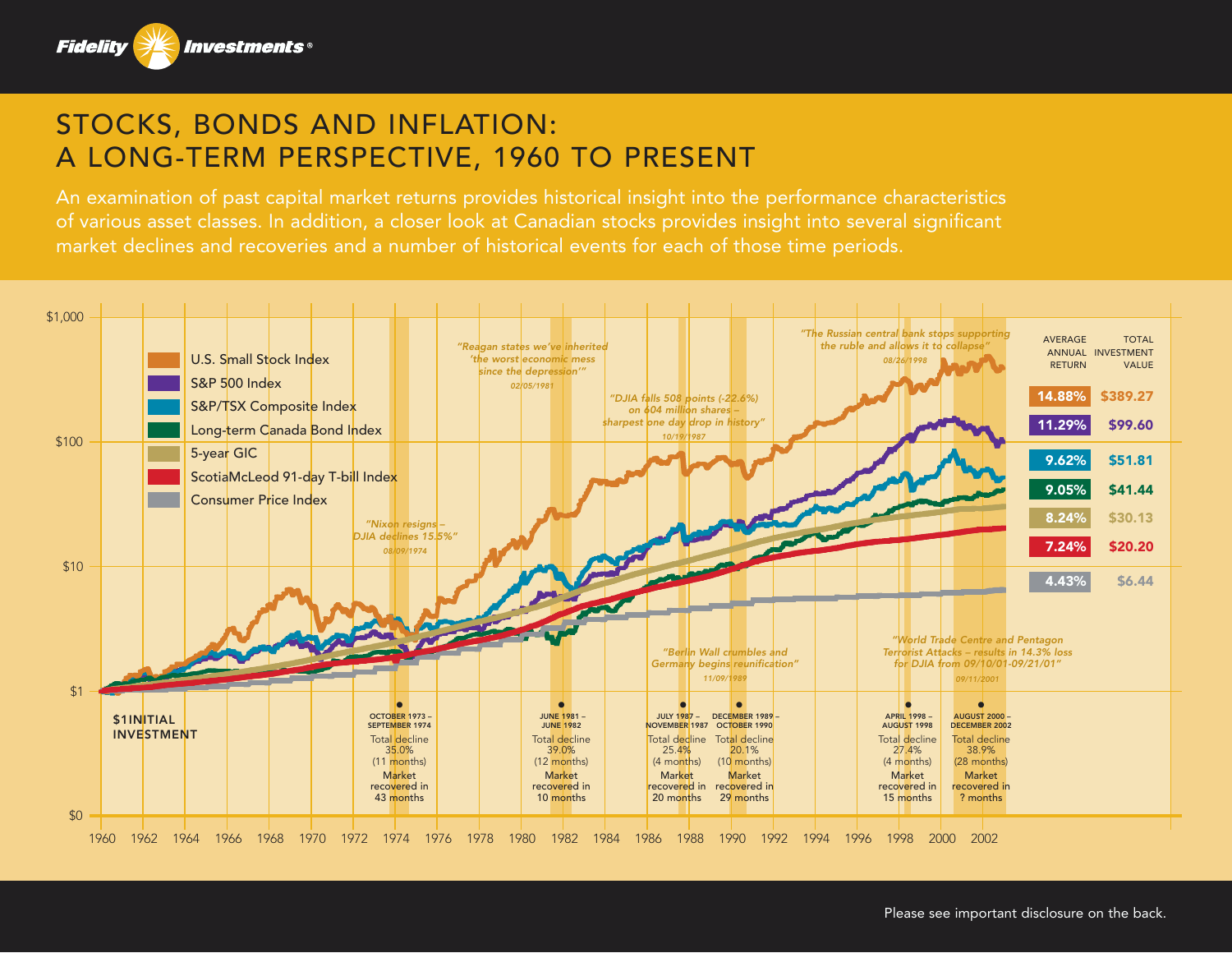

## STOCKS, BONDS AND INFLATION: A LONG-TERM PERSPECTIVE, 1960 TO PRESENT

An examination of past capital market returns provides historical insight into the performance characteristics of various asset classes. In addition, a closer look at Canadian stocks provides insight into several significant market declines and recoveries and a number of historical events for each of those time periods.